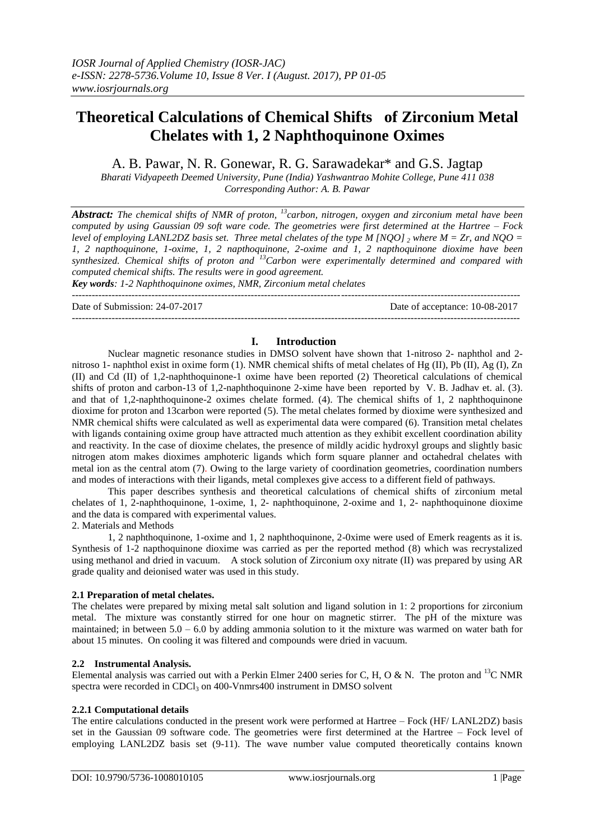# **Theoretical Calculations of Chemical Shifts of Zirconium Metal Chelates with 1, 2 Naphthoquinone Oximes**

A. B. Pawar, N. R. Gonewar, R. G. Sarawadekar\* and G.S. Jagtap

*Bharati Vidyapeeth Deemed University, Pune (India) Yashwantrao Mohite College, Pune 411 038 Corresponding Author: A. B. Pawar*

*Abstract: The chemical shifts of NMR of proton, <sup>13</sup>carbon, nitrogen, oxygen and zirconium metal have been computed by using Gaussian 09 soft ware code. The geometries were first determined at the Hartree – Fock level of employing LANL2DZ basis set. Three metal chelates of the type M [NOO]*  $\alpha$  *where M = Zr, and NOO = 1, 2 napthoquinone, 1-oxime, 1, 2 napthoquinone, 2-oxime and 1, 2 napthoquinone dioxime have been synthesized. Chemical shifts of proton and <sup>13</sup>Carbon were experimentally determined and compared with computed chemical shifts. The results were in good agreement.*

*Key words: 1-2 Naphthoquinone oximes, NMR, Zirconium metal chelates* ---------------------------------------------------------------------------------------------------------------------------------------

Date of Submission: 24-07-2017 Date of acceptance: 10-08-2017

#### ---------------------------------------------------------------------------------------------------------------------------------------

# **I. Introduction**

Nuclear magnetic resonance studies in DMSO solvent have shown that 1-nitroso 2- naphthol and 2 nitroso 1- naphthol exist in oxime form (1). NMR chemical shifts of metal chelates of Hg (II), Pb (II), Ag (I), Zn (II) and Cd (II) of 1,2-naphthoquinone-1 oxime have been reported (2) Theoretical calculations of chemical shifts of proton and carbon-13 of 1,2-naphthoquinone 2-xime have been reported by V. B. Jadhav et. al. (3). and that of 1,2-naphthoquinone-2 oximes chelate formed. (4). The chemical shifts of 1, 2 naphthoquinone dioxime for proton and 13carbon were reported (5). The metal chelates formed by dioxime were synthesized and NMR chemical shifts were calculated as well as experimental data were compared (6). Transition metal chelates with ligands containing oxime group have attracted much attention as they exhibit excellent coordination ability and reactivity. In the case of dioxime chelates, the presence of mildly acidic hydroxyl groups and slightly basic nitrogen atom makes dioximes amphoteric ligands which form square planner and octahedral chelates with metal ion as the central atom (7). Owing to the large variety of coordination geometries, coordination numbers and modes of interactions with their ligands, metal complexes give access to a different field of pathways.

This paper describes synthesis and theoretical calculations of chemical shifts of zirconium metal chelates of 1, 2-naphthoquinone, 1-oxime, 1, 2- naphthoquinone, 2-oxime and 1, 2- naphthoquinone dioxime and the data is compared with experimental values.

2. Materials and Methods

1, 2 naphthoquinone, 1-oxime and 1, 2 naphthoquinone, 2-0xime were used of Emerk reagents as it is. Synthesis of 1-2 napthoquinone dioxime was carried as per the reported method (8) which was recrystalized using methanol and dried in vacuum. A stock solution of Zirconium oxy nitrate (II) was prepared by using AR grade quality and deionised water was used in this study.

## **2.1 Preparation of metal chelates.**

The chelates were prepared by mixing metal salt solution and ligand solution in 1: 2 proportions for zirconium metal. The mixture was constantly stirred for one hour on magnetic stirrer. The pH of the mixture was maintained; in between  $5.0 - 6.0$  by adding ammonia solution to it the mixture was warmed on water bath for about 15 minutes. On cooling it was filtered and compounds were dried in vacuum.

## **2.2 Instrumental Analysis.**

Elemental analysis was carried out with a Perkin Elmer 2400 series for C, H, O & N. The proton and <sup>13</sup>C NMR spectra were recorded in CDCl<sub>3</sub> on  $400$ -Vnmrs $400$  instrument in DMSO solvent

## **2.2.1 Computational details**

The entire calculations conducted in the present work were performed at Hartree – Fock (HF/ LANL2DZ) basis set in the Gaussian 09 software code. The geometries were first determined at the Hartree – Fock level of employing LANL2DZ basis set (9-11). The wave number value computed theoretically contains known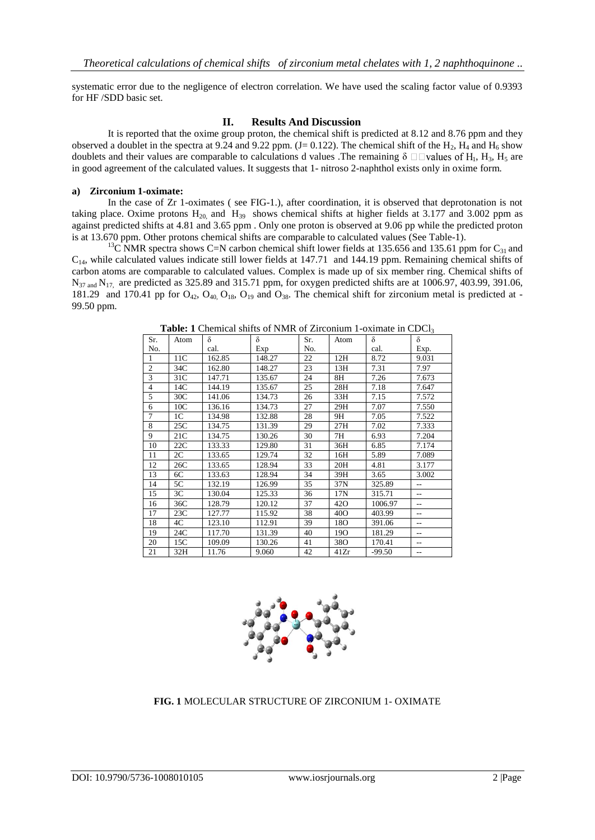systematic error due to the negligence of electron correlation. We have used the scaling factor value of 0.9393 for HF /SDD basic set.

# **II. Results And Discussion**

It is reported that the oxime group proton, the chemical shift is predicted at 8.12 and 8.76 ppm and they observed a doublet in the spectra at 9.24 and 9.22 ppm.  $(J= 0.122)$ . The chemical shift of the H<sub>2</sub>, H<sub>4</sub> and H<sub>6</sub> show doublets and their values are comparable to calculations d values. The remaining  $\delta \Box \Box$  values of H<sub>1</sub>, H<sub>5</sub>, H<sub>5</sub> are in good agreement of the calculated values. It suggests that 1- nitroso 2-naphthol exists only in oxime form.

# **a) Zirconium 1-oximate:**

In the case of Zr 1-oximates ( see FIG-1.), after coordination, it is observed that deprotonation is not taking place. Oxime protons  $H_{20}$  and  $H_{39}$  shows chemical shifts at higher fields at 3.177 and 3.002 ppm as against predicted shifts at 4.81 and 3.65 ppm . Only one proton is observed at 9.06 pp while the predicted proton is at 13.670 ppm. Other protons chemical shifts are comparable to calculated values (See Table-1).

<sup>13</sup>C NMR spectra shows C=N carbon chemical shift lower fields at 135.656 and 135.61 ppm for C<sub>31</sub> and  $C_{14}$ , while calculated values indicate still lower fields at 147.71 and 144.19 ppm. Remaining chemical shifts of carbon atoms are comparable to calculated values. Complex is made up of six member ring. Chemical shifts of  $N_{37 \text{ and } N_{17} }$  are predicted as 325.89 and 315.71 ppm, for oxygen predicted shifts are at 1006.97, 403.99, 391.06, 181.29 and 170.41 pp for  $O_{42}$ ,  $O_{40}$ ,  $O_{18}$ ,  $O_{19}$  and  $O_{38}$ . The chemical shift for zirconium metal is predicted at -99.50 ppm.

| Sr.            | Atom            | δ      | δ      | Sr. | Atom            | δ        | δ     |
|----------------|-----------------|--------|--------|-----|-----------------|----------|-------|
| No.            |                 | cal.   | Exp    | No. |                 | cal.     | Exp.  |
| 1              | 11C             | 162.85 | 148.27 | 22  | 12H             | 8.72     | 9.031 |
| $\overline{c}$ | 34C             | 162.80 | 148.27 | 23  | 13H             | 7.31     | 7.97  |
| 3              | 31 <sup>C</sup> | 147.71 | 135.67 | 24  | 8H              | 7.26     | 7.673 |
| $\overline{4}$ | 14C             | 144.19 | 135.67 | 25  | 28H             | 7.18     | 7.647 |
| 5              | 30C             | 141.06 | 134.73 | 26  | 33H             | 7.15     | 7.572 |
| 6              | 10C             | 136.16 | 134.73 | 27  | 29H             | 7.07     | 7.550 |
| $\overline{7}$ | 1C              | 134.98 | 132.88 | 28  | 9H              | 7.05     | 7.522 |
| 8              | 25C             | 134.75 | 131.39 | 29  | 27H             | 7.02     | 7.333 |
| 9              | 21C             | 134.75 | 130.26 | 30  | 7H              | 6.93     | 7.204 |
| 10             | 22C             | 133.33 | 129.80 | 31  | 36H             | 6.85     | 7.174 |
| 11             | 2C              | 133.65 | 129.74 | 32  | 16H             | 5.89     | 7.089 |
| 12             | 26C             | 133.65 | 128.94 | 33  | 20H             | 4.81     | 3.177 |
| 13             | 6C              | 133.63 | 128.94 | 34  | 39H             | 3.65     | 3.002 |
| 14             | 5C              | 132.19 | 126.99 | 35  | 37N             | 325.89   | $-$   |
| 15             | 3C              | 130.04 | 125.33 | 36  | 17N             | 315.71   | $-$   |
| 16             | 36C             | 128.79 | 120.12 | 37  | 42 <sub>O</sub> | 1006.97  | $-$   |
| 17             | 23C             | 127.77 | 115.92 | 38  | 40O             | 403.99   | $-$   |
| 18             | 4C              | 123.10 | 112.91 | 39  | 18O             | 391.06   | $-$   |
| 19             | 24C             | 117.70 | 131.39 | 40  | 19O             | 181.29   | --    |
| 20             | 15C             | 109.09 | 130.26 | 41  | 38O             | 170.41   | $-$   |
| 21             | 32H             | 11.76  | 9.060  | 42  | 41Zr            | $-99.50$ | $-$   |

Table: 1 Chemical shifts of NMR of Zirconium 1-oximate in CDCl<sub>3</sub>



**FIG. 1** MOLECULAR STRUCTURE OF ZIRCONIUM 1- OXIMATE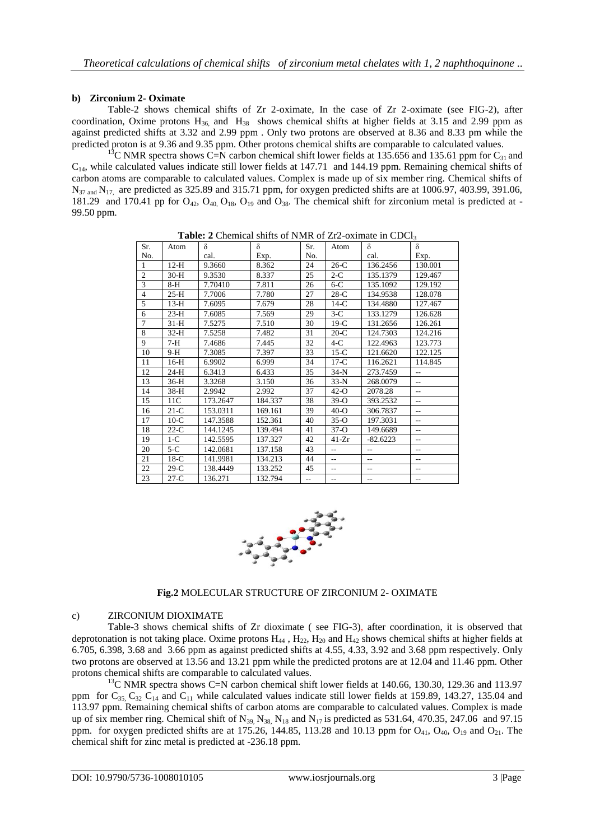# **b) Zirconium 2- Oximate**

Table-2 shows chemical shifts of Zr 2-oximate, In the case of Zr 2-oximate (see FIG-2), after coordination, Oxime protons  $H_{36}$  and  $H_{38}$  shows chemical shifts at higher fields at 3.15 and 2.99 ppm as against predicted shifts at 3.32 and 2.99 ppm . Only two protons are observed at 8.36 and 8.33 pm while the predicted proton is at 9.36 and 9.35 ppm. Other protons chemical shifts are comparable to calculated values.

<sup>13</sup>C NMR spectra shows C=N carbon chemical shift lower fields at 135.656 and 135.61 ppm for C<sub>31</sub> and  $C_{14}$ , while calculated values indicate still lower fields at 147.71 and 144.19 ppm. Remaining chemical shifts of carbon atoms are comparable to calculated values. Complex is made up of six member ring. Chemical shifts of  $N_{37 \text{ and } N_{17} }$  are predicted as 325.89 and 315.71 ppm, for oxygen predicted shifts are at 1006.97, 403.99, 391.06, 181.29 and 170.41 pp for  $O_{42}$ ,  $O_{40}$ ,  $O_{18}$ ,  $O_{19}$  and  $O_{38}$ . The chemical shift for zirconium metal is predicted at -99.50 ppm.

**Table: 2** Chemical shifts of NMR of Zr2-oximate in CDCl<sub>3</sub>

| Sr.            | Atom   | δ        | δ       | Sr.            | Atom                     | δ          | δ              |
|----------------|--------|----------|---------|----------------|--------------------------|------------|----------------|
| No.            |        | cal.     | Exp.    | No.            |                          | cal.       | Exp.           |
| 1              | $12-H$ | 9.3660   | 8.362   | 24             | $26-C$                   | 136.2456   | 130.001        |
| $\mathfrak{2}$ | $30-H$ | 9.3530   | 8.337   | 25             | $2-C$                    | 135.1379   | 129.467        |
| 3              | $8-H$  | 7.70410  | 7.811   | 26             | $6-C$                    | 135.1092   | 129.192        |
| $\overline{4}$ | $25-H$ | 7.7006   | 7.780   | 27             | $28-C$                   | 134.9538   | 128.078        |
| 5              | $13-H$ | 7.6095   | 7.679   | 28             | $14-C$                   | 134.4880   | 127.467        |
| 6              | $23-H$ | 7.6085   | 7.569   | 29             | $3-C$                    | 133.1279   | 126.628        |
| 7              | $31-H$ | 7.5275   | 7.510   | 30             | $19-C$                   | 131.2656   | 126.261        |
| 8              | $32-H$ | 7.5258   | 7.482   | 31             | $20-C$                   | 124.7303   | 124.216        |
| 9              | 7-H    | 7.4686   | 7.445   | 32             | $4-C$                    | 122.4963   | 123.773        |
| 10             | $9-H$  | 7.3085   | 7.397   | 33             | $15-C$                   | 121.6620   | 122.125        |
| 11             | $16-H$ | 6.9902   | 6.999   | 34             | $17-C$                   | 116.2621   | 114.845        |
| 12             | $24-H$ | 6.3413   | 6.433   | 35             | $34-N$                   | 273.7459   | $\sim$ $\sim$  |
| 13             | $36-H$ | 3.3268   | 3.150   | 36             | $33-N$                   | 268,0079   | $\sim$ $\sim$  |
| 14             | $38-H$ | 2.9942   | 2.992   | 37             | $42-°$                   | 2078.28    | $\sim$ $\sim$  |
| 15             | 11C    | 173.2647 | 184.337 | 38             | $39-o$                   | 393.2532   | $\sim$ $\sim$  |
| 16             | $21-C$ | 153.0311 | 169.161 | 39             | $40-°$                   | 306.7837   | $\sim$ $\sim$  |
| 17             | $10-C$ | 147.3588 | 152.361 | 40             | $35-o$                   | 197.3031   | $\overline{a}$ |
| 18             | $22-C$ | 144.1245 | 139.494 | 41             | $37-°$                   | 149.6689   | $\sim$ $\sim$  |
| 19             | $1-C$  | 142.5595 | 137.327 | 42             | $41 - Zr$                | $-82.6223$ | $\sim$ $\sim$  |
| 20             | $5-C$  | 142.0681 | 137.158 | 43             | $\overline{a}$           | $\sim$     | $\sim$ $\sim$  |
| 21             | $18-C$ | 141.9981 | 134.213 | 44             | $\overline{a}$           | $\sim$ $-$ | $\sim$ $\sim$  |
| 22             | $29-C$ | 138.4449 | 133.252 | 45             | $\sim$ $\sim$            | $-$        | $-$            |
| 23             | $27-C$ | 136.271  | 132.794 | $\overline{a}$ | $\overline{\phantom{a}}$ | --         | $-$            |



**Fig.2** MOLECULAR STRUCTURE OF ZIRCONIUM 2- OXIMATE

# c) ZIRCONIUM DIOXIMATE

Table-3 shows chemical shifts of Zr dioximate ( see FIG-3), after coordination, it is observed that deprotonation is not taking place. Oxime protons  $H_{44}$ ,  $H_{22}$ ,  $H_{20}$  and  $H_{42}$  shows chemical shifts at higher fields at 6.705, 6.398, 3.68 and 3.66 ppm as against predicted shifts at 4.55, 4.33, 3.92 and 3.68 ppm respectively. Only two protons are observed at 13.56 and 13.21 ppm while the predicted protons are at 12.04 and 11.46 ppm. Other protons chemical shifts are comparable to calculated values.

 $13<sup>13</sup>C NMR$  spectra shows C=N carbon chemical shift lower fields at 140.66, 130.30, 129.36 and 113.97 ppm for  $C_{35}$ ,  $C_{32}$   $C_{14}$  and  $C_{11}$  while calculated values indicate still lower fields at 159.89, 143.27, 135.04 and 113.97 ppm. Remaining chemical shifts of carbon atoms are comparable to calculated values. Complex is made up of six member ring. Chemical shift of  $N_{39}$ ,  $N_{38}$ ,  $N_{18}$  and  $N_{17}$  is predicted as 531.64, 470.35, 247.06 and 97.15 ppm. for oxygen predicted shifts are at 175.26, 144.85, 113.28 and 10.13 ppm for  $O_{41}$ ,  $O_{40}$ ,  $O_{19}$  and  $O_{21}$ . The chemical shift for zinc metal is predicted at -236.18 ppm.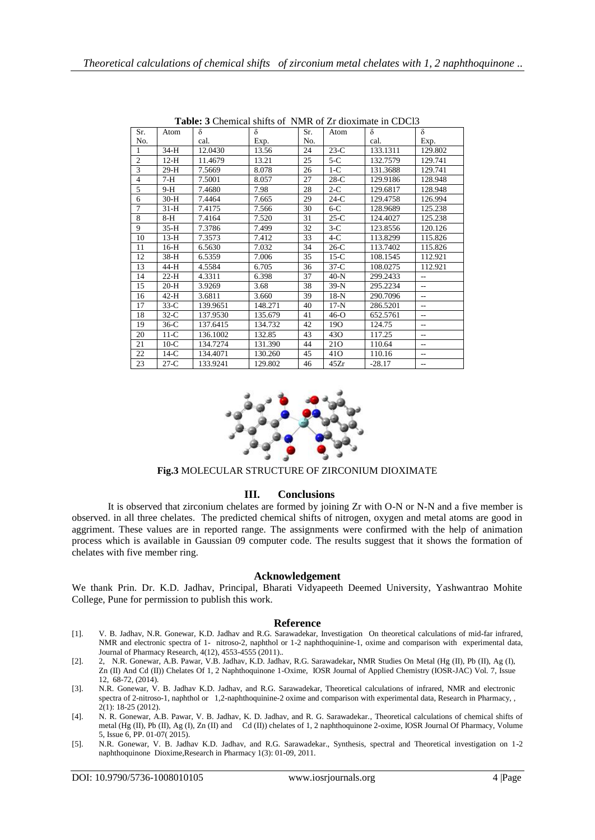| <b>Table.</b> 9 Chemical shifts of Twitt of <i>El</i> Gioximate in CDCI <sub>2</sub> |        |          |         |     |                 |          |                |  |
|--------------------------------------------------------------------------------------|--------|----------|---------|-----|-----------------|----------|----------------|--|
| Sr.                                                                                  | Atom   | $\delta$ | δ       | Sr. | Atom            | $\delta$ | $\delta$       |  |
| No.                                                                                  |        | cal.     | Exp.    | No. |                 | cal.     | Exp.           |  |
| 1                                                                                    | 34-H   | 12.0430  | 13.56   | 24  | $23-C$          | 133.1311 | 129.802        |  |
| $\overline{2}$                                                                       | $12-H$ | 11.4679  | 13.21   | 25  | $5-C$           | 132.7579 | 129.741        |  |
| 3                                                                                    | $29-H$ | 7.5669   | 8.078   | 26  | $1-C$           | 131.3688 | 129.741        |  |
| $\overline{4}$                                                                       | $7-H$  | 7.5001   | 8.057   | 27  | $28-C$          | 129.9186 | 128.948        |  |
| 5                                                                                    | $9-H$  | 7.4680   | 7.98    | 28  | $2-C$           | 129.6817 | 128.948        |  |
| 6                                                                                    | $30-H$ | 7.4464   | 7.665   | 29  | $24-C$          | 129.4758 | 126.994        |  |
| $\overline{7}$                                                                       | $31-H$ | 7.4175   | 7.566   | 30  | $6-C$           | 128.9689 | 125.238        |  |
| 8                                                                                    | $8-H$  | 7.4164   | 7.520   | 31  | $25-C$          | 124.4027 | 125.238        |  |
| 9                                                                                    | $35-H$ | 7.3786   | 7.499   | 32  | $3-C$           | 123.8556 | 120.126        |  |
| 10                                                                                   | $13-H$ | 7.3573   | 7.412   | 33  | $4-C$           | 113.8299 | 115.826        |  |
| 11                                                                                   | $16-H$ | 6.5630   | 7.032   | 34  | $26-C$          | 113.7402 | 115.826        |  |
| 12                                                                                   | $38-H$ | 6.5359   | 7.006   | 35  | $15-C$          | 108.1545 | 112.921        |  |
| 13                                                                                   | 44-H   | 4.5584   | 6.705   | 36  | $37-C$          | 108.0275 | 112.921        |  |
| 14                                                                                   | $22-H$ | 4.3311   | 6.398   | 37  | $40-N$          | 299.2433 | $-$            |  |
| 15                                                                                   | $20-H$ | 3.9269   | 3.68    | 38  | $39-N$          | 295.2234 | $-$            |  |
| 16                                                                                   | $42-H$ | 3.6811   | 3.660   | 39  | $18-N$          | 290.7096 | $\overline{a}$ |  |
| 17                                                                                   | $33-C$ | 139.9651 | 148.271 | 40  | $17-N$          | 286.5201 | $\overline{a}$ |  |
| 18                                                                                   | $32-C$ | 137.9530 | 135.679 | 41  | $46-°$          | 652.5761 | $\overline{a}$ |  |
| 19                                                                                   | $36-C$ | 137.6415 | 134.732 | 42  | 19O             | 124.75   | $\overline{a}$ |  |
| 20                                                                                   | $11-C$ | 136.1002 | 132.85  | 43  | 43 <sub>O</sub> | 117.25   | $\overline{a}$ |  |
| 21                                                                                   | $10-C$ | 134.7274 | 131.390 | 44  | 210             | 110.64   | $\overline{a}$ |  |
| 22                                                                                   | $14-C$ | 134.4071 | 130.260 | 45  | 41 <sub>O</sub> | 110.16   | $\sim$ $\sim$  |  |
| 23                                                                                   | $27-C$ | 133.9241 | 129.802 | 46  | 45Zr            | $-28.17$ | $- -$          |  |

**Table: 3** Chemical shifts of NMR of Zr dioximate in CDCl3



# **Fig.3** MOLECULAR STRUCTURE OF ZIRCONIUM DIOXIMATE

## **III. Conclusions**

It is observed that zirconium chelates are formed by joining Zr with O-N or N-N and a five member is observed. in all three chelates. The predicted chemical shifts of nitrogen, oxygen and metal atoms are good in aggriment. These values are in reported range. The assignments were confirmed with the help of animation process which is available in Gaussian 09 computer code. The results suggest that it shows the formation of chelates with five member ring.

#### **Acknowledgement**

We thank Prin. Dr. K.D. Jadhav, Principal, Bharati Vidyapeeth Deemed University, Yashwantrao Mohite College, Pune for permission to publish this work.

#### **Reference**

- [1]. V. B. Jadhav, N.R. Gonewar, K.D. Jadhav and R.G. Sarawadekar, Investigation On theoretical calculations of mid-far infrared, NMR and electronic spectra of 1- nitroso-2, naphthol or 1-2 naphthoquinine-1, oxime and comparison with experimental data, Journal of Pharmacy Research, 4(12), 4553-4555 (2011)..
- [2]. 2, N.R. Gonewar, A.B. Pawar, V.B. Jadhav, K.D. Jadhav, R.G. Sarawadekar**,** NMR Studies On Metal (Hg (II), Pb (II), Ag (I), Zn (II) And Cd (II)) Chelates Of 1, 2 Naphthoquinone 1-Oxime, IOSR Journal of Applied Chemistry (IOSR-JAC) Vol. 7, Issue 12, 68-72, (2014).
- [3]. N.R. Gonewar, V. B. Jadhav K.D. Jadhav, and R.G. Sarawadekar, Theoretical calculations of infrared, NMR and electronic spectra of 2-nitroso-1, naphthol or 1,2-naphthoquinine-2 oxime and comparison with experimental data, Research in Pharmacy, , 2(1): 18-25 (2012).
- [4]. N. R. Gonewar, A.B. Pawar, V. B. Jadhav, K. D. Jadhav, and R. G. Sarawadekar., Theoretical calculations of chemical shifts of metal (Hg (II), Pb (II), Ag (I), Zn (II) and Cd (II)) chelates of 1, 2 naphthoquinone 2-oxime, IOSR Journal Of Pharmacy, Volume 5, Issue 6, PP. 01-07( 2015).
- [5]. N.R. Gonewar, V. B. Jadhav K.D. Jadhav, and R.G. Sarawadekar., Synthesis, spectral and Theoretical investigation on 1-2 naphthoquinone Dioxime,Research in Pharmacy 1(3): 01-09, 2011.